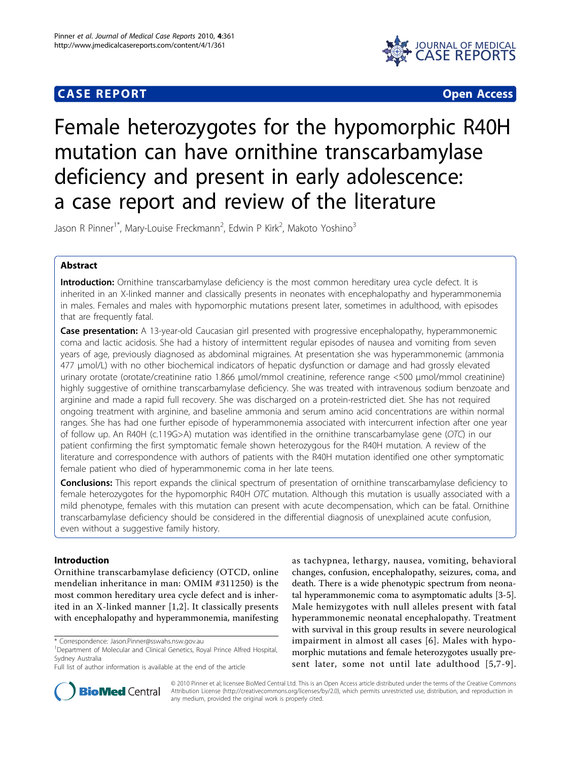## **CASE REPORT CASE REPORT CASE REPORT**



# Female heterozygotes for the hypomorphic R40H mutation can have ornithine transcarbamylase deficiency and present in early adolescence: a case report and review of the literature

Jason R Pinner<sup>1\*</sup>, Mary-Louise Freckmann<sup>2</sup>, Edwin P Kirk<sup>2</sup>, Makoto Yoshino<sup>3</sup>

## Abstract

Introduction: Ornithine transcarbamylase deficiency is the most common hereditary urea cycle defect. It is inherited in an X-linked manner and classically presents in neonates with encephalopathy and hyperammonemia in males. Females and males with hypomorphic mutations present later, sometimes in adulthood, with episodes that are frequently fatal.

**Case presentation:** A 13-year-old Caucasian girl presented with progressive encephalopathy, hyperammonemic coma and lactic acidosis. She had a history of intermittent regular episodes of nausea and vomiting from seven years of age, previously diagnosed as abdominal migraines. At presentation she was hyperammonemic (ammonia 477 μmol/L) with no other biochemical indicators of hepatic dysfunction or damage and had grossly elevated urinary orotate (orotate/creatinine ratio 1.866 μmol/mmol creatinine, reference range <500 μmol/mmol creatinine) highly suggestive of ornithine transcarbamylase deficiency. She was treated with intravenous sodium benzoate and arginine and made a rapid full recovery. She was discharged on a protein-restricted diet. She has not required ongoing treatment with arginine, and baseline ammonia and serum amino acid concentrations are within normal ranges. She has had one further episode of hyperammonemia associated with intercurrent infection after one year of follow up. An R40H (c.119G>A) mutation was identified in the ornithine transcarbamylase gene (OTC) in our patient confirming the first symptomatic female shown heterozygous for the R40H mutation. A review of the literature and correspondence with authors of patients with the R40H mutation identified one other symptomatic female patient who died of hyperammonemic coma in her late teens.

**Conclusions:** This report expands the clinical spectrum of presentation of ornithine transcarbamylase deficiency to female heterozygotes for the hypomorphic R40H OTC mutation. Although this mutation is usually associated with a mild phenotype, females with this mutation can present with acute decompensation, which can be fatal. Ornithine transcarbamylase deficiency should be considered in the differential diagnosis of unexplained acute confusion, even without a suggestive family history.

## Introduction

Ornithine transcarbamylase deficiency (OTCD, online mendelian inheritance in man: OMIM #311250) is the most common hereditary urea cycle defect and is inherited in an X-linked manner [\[1](#page-2-0),[2\]](#page-2-0). It classically presents with encephalopathy and hyperammonemia, manifesting

Full list of author information is available at the end of the article





© 2010 Pinner et al; licensee BioMed Central Ltd. This is an Open Access article distributed under the terms of the Creative Commons Attribution License [\(http://creativecommons.org/licenses/by/2.0](http://creativecommons.org/licenses/by/2.0)), which permits unrestricted use, distribution, and reproduction in any medium, provided the original work is properly cited.

<sup>\*</sup> Correspondence: [Jason.Pinner@sswahs.nsw.gov.au](mailto:Jason.Pinner@sswahs.nsw.gov.au)

<sup>&</sup>lt;sup>1</sup>Department of Molecular and Clinical Genetics, Royal Prince Alfred Hospital, Sydney Australia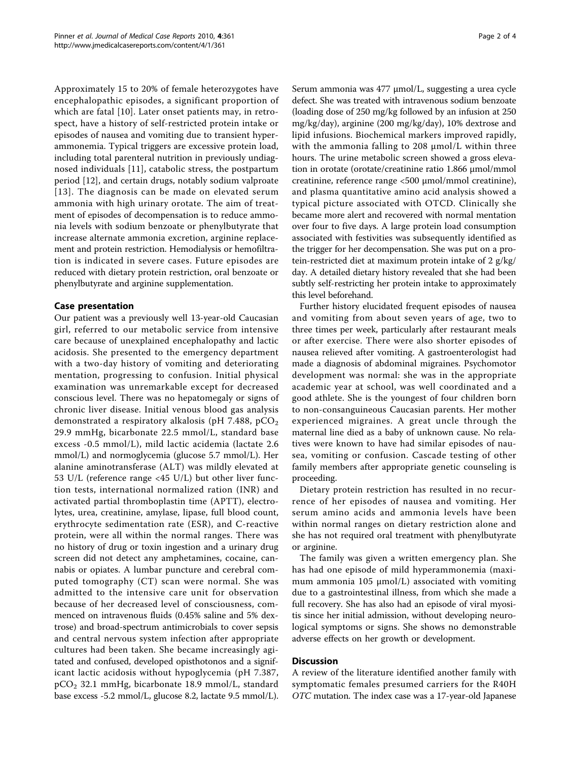Approximately 15 to 20% of female heterozygotes have encephalopathic episodes, a significant proportion of which are fatal [[10\]](#page-3-0). Later onset patients may, in retrospect, have a history of self-restricted protein intake or episodes of nausea and vomiting due to transient hyperammonemia. Typical triggers are excessive protein load, including total parenteral nutrition in previously undiagnosed individuals [[11\]](#page-3-0), catabolic stress, the postpartum period [\[12](#page-3-0)], and certain drugs, notably sodium valproate [[13](#page-3-0)]. The diagnosis can be made on elevated serum ammonia with high urinary orotate. The aim of treatment of episodes of decompensation is to reduce ammonia levels with sodium benzoate or phenylbutyrate that increase alternate ammonia excretion, arginine replacement and protein restriction. Hemodialysis or hemofiltration is indicated in severe cases. Future episodes are reduced with dietary protein restriction, oral benzoate or phenylbutyrate and arginine supplementation.

## Case presentation

Our patient was a previously well 13-year-old Caucasian girl, referred to our metabolic service from intensive care because of unexplained encephalopathy and lactic acidosis. She presented to the emergency department with a two-day history of vomiting and deteriorating mentation, progressing to confusion. Initial physical examination was unremarkable except for decreased conscious level. There was no hepatomegaly or signs of chronic liver disease. Initial venous blood gas analysis demonstrated a respiratory alkalosis (pH 7.488,  $pCO<sub>2</sub>$ ) 29.9 mmHg, bicarbonate 22.5 mmol/L, standard base excess -0.5 mmol/L), mild lactic acidemia (lactate 2.6 mmol/L) and normoglycemia (glucose 5.7 mmol/L). Her alanine aminotransferase (ALT) was mildly elevated at 53 U/L (reference range <45 U/L) but other liver function tests, international normalized ration (INR) and activated partial thromboplastin time (APTT), electrolytes, urea, creatinine, amylase, lipase, full blood count, erythrocyte sedimentation rate (ESR), and C-reactive protein, were all within the normal ranges. There was no history of drug or toxin ingestion and a urinary drug screen did not detect any amphetamines, cocaine, cannabis or opiates. A lumbar puncture and cerebral computed tomography (CT) scan were normal. She was admitted to the intensive care unit for observation because of her decreased level of consciousness, commenced on intravenous fluids (0.45% saline and 5% dextrose) and broad-spectrum antimicrobials to cover sepsis and central nervous system infection after appropriate cultures had been taken. She became increasingly agitated and confused, developed opisthotonos and a significant lactic acidosis without hypoglycemia (pH 7.387, pCO2 32.1 mmHg, bicarbonate 18.9 mmol/L, standard base excess -5.2 mmol/L, glucose 8.2, lactate 9.5 mmol/L). Serum ammonia was 477 μmol/L, suggesting a urea cycle defect. She was treated with intravenous sodium benzoate (loading dose of 250 mg/kg followed by an infusion at 250 mg/kg/day), arginine (200 mg/kg/day), 10% dextrose and lipid infusions. Biochemical markers improved rapidly, with the ammonia falling to 208 μmol/L within three hours. The urine metabolic screen showed a gross elevation in orotate (orotate/creatinine ratio 1.866 μmol/mmol creatinine, reference range <500 μmol/mmol creatinine), and plasma quantitative amino acid analysis showed a typical picture associated with OTCD. Clinically she became more alert and recovered with normal mentation over four to five days. A large protein load consumption associated with festivities was subsequently identified as the trigger for her decompensation. She was put on a protein-restricted diet at maximum protein intake of 2 g/kg/ day. A detailed dietary history revealed that she had been subtly self-restricting her protein intake to approximately this level beforehand.

Further history elucidated frequent episodes of nausea and vomiting from about seven years of age, two to three times per week, particularly after restaurant meals or after exercise. There were also shorter episodes of nausea relieved after vomiting. A gastroenterologist had made a diagnosis of abdominal migraines. Psychomotor development was normal: she was in the appropriate academic year at school, was well coordinated and a good athlete. She is the youngest of four children born to non-consanguineous Caucasian parents. Her mother experienced migraines. A great uncle through the maternal line died as a baby of unknown cause. No relatives were known to have had similar episodes of nausea, vomiting or confusion. Cascade testing of other family members after appropriate genetic counseling is proceeding.

Dietary protein restriction has resulted in no recurrence of her episodes of nausea and vomiting. Her serum amino acids and ammonia levels have been within normal ranges on dietary restriction alone and she has not required oral treatment with phenylbutyrate or arginine.

The family was given a written emergency plan. She has had one episode of mild hyperammonemia (maximum ammonia 105 μmol/L) associated with vomiting due to a gastrointestinal illness, from which she made a full recovery. She has also had an episode of viral myositis since her initial admission, without developing neurological symptoms or signs. She shows no demonstrable adverse effects on her growth or development.

## **Discussion**

A review of the literature identified another family with symptomatic females presumed carriers for the R40H OTC mutation. The index case was a 17-year-old Japanese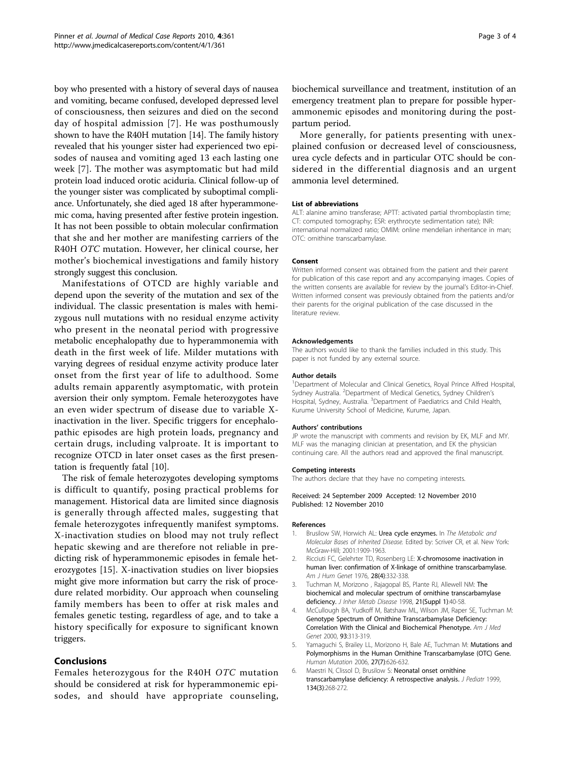<span id="page-2-0"></span>boy who presented with a history of several days of nausea and vomiting, became confused, developed depressed level of consciousness, then seizures and died on the second day of hospital admission [[7](#page-3-0)]. He was posthumously shown to have the R40H mutation [\[14\]](#page-3-0). The family history revealed that his younger sister had experienced two episodes of nausea and vomiting aged 13 each lasting one week [[7\]](#page-3-0). The mother was asymptomatic but had mild protein load induced orotic aciduria. Clinical follow-up of the younger sister was complicated by suboptimal compliance. Unfortunately, she died aged 18 after hyperammonemic coma, having presented after festive protein ingestion. It has not been possible to obtain molecular confirmation that she and her mother are manifesting carriers of the R40H OTC mutation. However, her clinical course, her mother's biochemical investigations and family history strongly suggest this conclusion.

Manifestations of OTCD are highly variable and depend upon the severity of the mutation and sex of the individual. The classic presentation is males with hemizygous null mutations with no residual enzyme activity who present in the neonatal period with progressive metabolic encephalopathy due to hyperammonemia with death in the first week of life. Milder mutations with varying degrees of residual enzyme activity produce later onset from the first year of life to adulthood. Some adults remain apparently asymptomatic, with protein aversion their only symptom. Female heterozygotes have an even wider spectrum of disease due to variable Xinactivation in the liver. Specific triggers for encephalopathic episodes are high protein loads, pregnancy and certain drugs, including valproate. It is important to recognize OTCD in later onset cases as the first presentation is frequently fatal [\[10](#page-3-0)].

The risk of female heterozygotes developing symptoms is difficult to quantify, posing practical problems for management. Historical data are limited since diagnosis is generally through affected males, suggesting that female heterozygotes infrequently manifest symptoms. X-inactivation studies on blood may not truly reflect hepatic skewing and are therefore not reliable in predicting risk of hyperammonemic episodes in female heterozygotes [\[15](#page-3-0)]. X-inactivation studies on liver biopsies might give more information but carry the risk of procedure related morbidity. Our approach when counseling family members has been to offer at risk males and females genetic testing, regardless of age, and to take a history specifically for exposure to significant known triggers.

## Conclusions

Females heterozygous for the R40H OTC mutation should be considered at risk for hyperammonemic episodes, and should have appropriate counseling, biochemical surveillance and treatment, institution of an emergency treatment plan to prepare for possible hyperammonemic episodes and monitoring during the postpartum period.

More generally, for patients presenting with unexplained confusion or decreased level of consciousness, urea cycle defects and in particular OTC should be considered in the differential diagnosis and an urgent ammonia level determined.

#### List of abbreviations

ALT: alanine amino transferase; APTT: activated partial thromboplastin time; CT: computed tomography; ESR: erythrocyte sedimentation rate); INR: international normalized ratio; OMIM: online mendelian inheritance in man; OTC: ornithine transcarbamylase.

#### Consent

Written informed consent was obtained from the patient and their parent for publication of this case report and any accompanying images. Copies of the written consents are available for review by the journal's Editor-in-Chief. Written informed consent was previously obtained from the patients and/or their parents for the original publication of the case discussed in the literature review.

#### Acknowledgements

The authors would like to thank the families included in this study. This paper is not funded by any external source.

#### Author details

<sup>1</sup>Department of Molecular and Clinical Genetics, Royal Prince Alfred Hospital Sydney Australia. <sup>2</sup>Department of Medical Genetics, Sydney Children's Hospital, Sydney, Australia. <sup>3</sup>Department of Paediatrics and Child Health Kurume University School of Medicine, Kurume, Japan.

#### Authors' contributions

JP wrote the manuscript with comments and revision by EK, MLF and MY. MLF was the managing clinician at presentation, and EK the physician continuing care. All the authors read and approved the final manuscript.

#### Competing interests

The authors declare that they have no competing interests.

Received: 24 September 2009 Accepted: 12 November 2010 Published: 12 November 2010

#### References

- 1. Brusilow SW, Horwich AL: Urea cycle enzymes. In The Metabolic and Molecular Bases of Inherited Disease. Edited by: Scriver CR, et al. New York: McGraw-Hill; 2001:1909-1963.
- 2. Ricciuti FC, Gelehrter TD, Rosenberg LE: [X-chromosome inactivation in](http://www.ncbi.nlm.nih.gov/pubmed/941900?dopt=Abstract) [human liver: confirmation of X-linkage of ornithine transcarbamylase.](http://www.ncbi.nlm.nih.gov/pubmed/941900?dopt=Abstract) Am J Hum Genet 1976, 28(4):332-338.
- 3. Tuchman M, Morizono , Rajagopal BS, Plante RJ, Allewell NM: The biochemical and molecular spectrum of ornithine transcarbamylase deficiency. J Inher Metab Disease 1998, 21(Suppl 1):40-58.
- 4. McCullough BA, Yudkoff M, Batshaw ML, Wilson JM, Raper SE, Tuchman M: [Genotype Spectrum of Ornithine Transcarbamylase Deficiency:](http://www.ncbi.nlm.nih.gov/pubmed/10946359?dopt=Abstract) [Correlation With the Clinical and Biochemical Phenotype.](http://www.ncbi.nlm.nih.gov/pubmed/10946359?dopt=Abstract) Am J Med Genet 2000, 93:313-319.
- 5. Yamaguchi S, Brailey LL, Morizono H, Bale AE, Tuchman M: [Mutations and](http://www.ncbi.nlm.nih.gov/pubmed/16786505?dopt=Abstract) [Polymorphisms in the Human Ornithine Transcarbamylase \(OTC\) Gene.](http://www.ncbi.nlm.nih.gov/pubmed/16786505?dopt=Abstract) Human Mutation 2006, 27(7):626-632.
- 6. Maestri N, Clissol D, Brusilow S: [Neonatal onset ornithine](http://www.ncbi.nlm.nih.gov/pubmed/10064660?dopt=Abstract) [transcarbamylase deficiency: A retrospective analysis.](http://www.ncbi.nlm.nih.gov/pubmed/10064660?dopt=Abstract) J Pediatr 1999, 134(3):268-272.